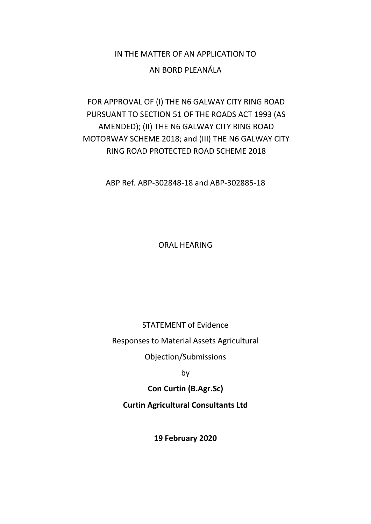# IN THE MATTER OF AN APPLICATION TO

## AN BORD PLEANÁLA

# FOR APPROVAL OF (I) THE N6 GALWAY CITY RING ROAD PURSUANT TO SECTION 51 OF THE ROADS ACT 1993 (AS AMENDED); (II) THE N6 GALWAY CITY RING ROAD MOTORWAY SCHEME 2018; and (III) THE N6 GALWAY CITY RING ROAD PROTECTED ROAD SCHEME 2018

ABP Ref. ABP-302848-18 and ABP-302885-18

ORAL HEARING

STATEMENT of Evidence

Responses to Material Assets Agricultural

Objection/Submissions

by

**Con Curtin (B.Agr.Sc)**

**Curtin Agricultural Consultants Ltd**

**19 February 2020**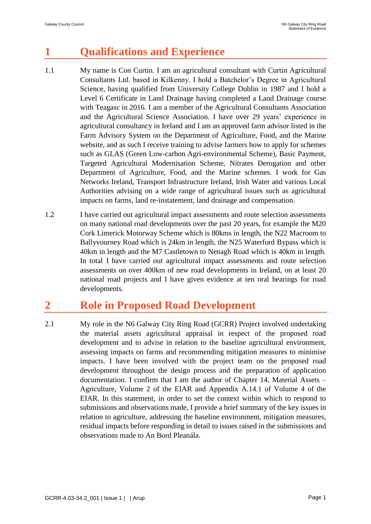# **1 Qualifications and Experience**

- 1.1 My name is Con Curtin. I am an agricultural consultant with Curtin Agricultural Consultants Ltd. based in Kilkenny. I hold a Batchelor's Degree in Agricultural Science, having qualified from University College Dublin in 1987 and I hold a Level 6 Certificate in Land Drainage having completed a Land Drainage course with Teagasc in 2016. I am a member of the Agricultural Consultants Association and the Agricultural Science Association. I have over 29 years' experience in agricultural consultancy in Ireland and I am an approved farm advisor listed in the Farm Advisory System on the Department of Agriculture, Food, and the Marine website, and as such I receive training to advise farmers how to apply for schemes such as GLAS (Green Low-carbon Agri-environmental Scheme), Basic Payment, Targeted Agricultural Modernisation Scheme, Nitrates Derogation and other Department of Agriculture, Food, and the Marine schemes. I work for Gas Networks Ireland, Transport Infrastructure Ireland, Irish Water and various Local Authorities advising on a wide range of agricultural issues such as agricultural impacts on farms, land re-instatement, land drainage and compensation.
- 1.2 I have carried out agricultural impact assessments and route selection assessments on many national road developments over the past 20 years, for example the M20 Cork Limerick Motorway Scheme which is 80kms in length, the N22 Macroom to Ballyvourney Road which is 24km in length, the N25 Waterford Bypass which is 40km in length and the M7 Castletown to Nenagh Road which is 40km in length. In total I have carried out agricultural impact assessments and route selection assessments on over 400km of new road developments in Ireland, on at least 20 national road projects and I have given evidence at ten oral hearings for road developments.

# **2 Role in Proposed Road Development**

2.1 My role in the N6 Galway City Ring Road (GCRR) Project involved undertaking the material assets agricultural appraisal in respect of the proposed road development and to advise in relation to the baseline agricultural environment, assessing impacts on farms and recommending mitigation measures to minimise impacts. I have been involved with the project team on the proposed road development throughout the design process and the preparation of application documentation. I confirm that I am the author of Chapter 14, Material Assets – Agriculture, Volume 2 of the EIAR and Appendix A.14.1 of Volume 4 of the EIAR. In this statement, in order to set the context within which to respond to submissions and observations made, I provide a brief summary of the key issues in relation to agriculture, addressing the baseline environment, mitigation measures, residual impacts before responding in detail to issues raised in the submissions and observations made to An Bord Pleanála.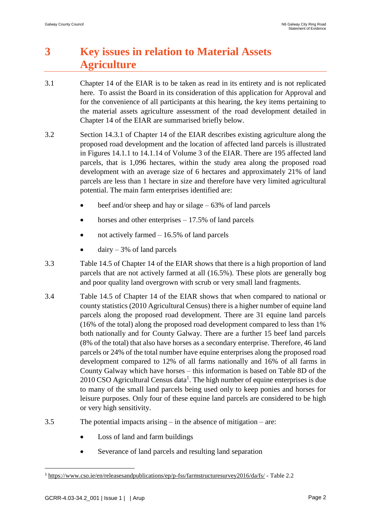# **3 Key issues in relation to Material Assets Agriculture**

- 3.1 Chapter 14 of the EIAR is to be taken as read in its entirety and is not replicated here. To assist the Board in its consideration of this application for Approval and for the convenience of all participants at this hearing, the key items pertaining to the material assets agriculture assessment of the road development detailed in Chapter 14 of the EIAR are summarised briefly below.
- 3.2 Section 14.3.1 of Chapter 14 of the EIAR describes existing agriculture along the proposed road development and the location of affected land parcels is illustrated in Figures 14.1.1 to 14.1.14 of Volume 3 of the EIAR. There are 195 affected land parcels, that is 1,096 hectares, within the study area along the proposed road development with an average size of 6 hectares and approximately 21% of land parcels are less than 1 hectare in size and therefore have very limited agricultural potential. The main farm enterprises identified are:
	- beef and/or sheep and hay or silage  $-63\%$  of land parcels
	- horses and other enterprises  $-17.5\%$  of land parcels
	- not actively farmed  $-16.5%$  of land parcels
	- $dairy 3%$  of land parcels
- 3.3 Table 14.5 of Chapter 14 of the EIAR shows that there is a high proportion of land parcels that are not actively farmed at all (16.5%). These plots are generally bog and poor quality land overgrown with scrub or very small land fragments.
- 3.4 Table 14.5 of Chapter 14 of the EIAR shows that when compared to national or county statistics (2010 Agricultural Census) there is a higher number of equine land parcels along the proposed road development. There are 31 equine land parcels (16% of the total) along the proposed road development compared to less than 1% both nationally and for County Galway. There are a further 15 beef land parcels (8% of the total) that also have horses as a secondary enterprise. Therefore, 46 land parcels or 24% of the total number have equine enterprises along the proposed road development compared to 12% of all farms nationally and 16% of all farms in County Galway which have horses – this information is based on Table 8D of the 2010 CSO Agricultural Census data<sup>1</sup>. The high number of equine enterprises is due to many of the small land parcels being used only to keep ponies and horses for leisure purposes. Only four of these equine land parcels are considered to be high or very high sensitivity.
- 3.5 The potential impacts arising in the absence of mitigation are:
	- Loss of land and farm buildings
	- Severance of land parcels and resulting land separation

<u>.</u>

<sup>1</sup> <https://www.cso.ie/en/releasesandpublications/ep/p-fss/farmstructuresurvey2016/da/fs/> - Table 2.2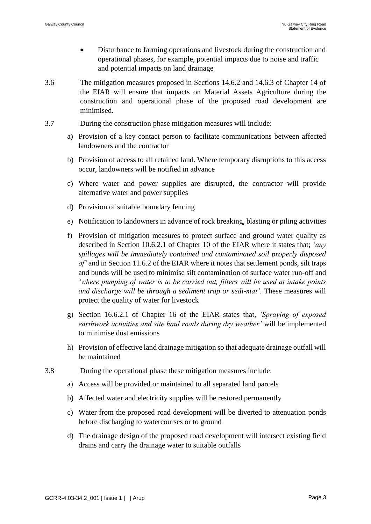- Disturbance to farming operations and livestock during the construction and operational phases, for example, potential impacts due to noise and traffic and potential impacts on land drainage
- 3.6 The mitigation measures proposed in Sections 14.6.2 and 14.6.3 of Chapter 14 of the EIAR will ensure that impacts on Material Assets Agriculture during the construction and operational phase of the proposed road development are minimised.
- 3.7 During the construction phase mitigation measures will include:
	- a) Provision of a key contact person to facilitate communications between affected landowners and the contractor
	- b) Provision of access to all retained land. Where temporary disruptions to this access occur, landowners will be notified in advance
	- c) Where water and power supplies are disrupted, the contractor will provide alternative water and power supplies
	- d) Provision of suitable boundary fencing
	- e) Notification to landowners in advance of rock breaking, blasting or piling activities
	- f) Provision of mitigation measures to protect surface and ground water quality as described in Section 10.6.2.1 of Chapter 10 of the EIAR where it states that; *'any spillages will be immediately contained and contaminated soil properly disposed of'* and in Section 11.6.2 of the EIAR where it notes that settlement ponds, silt traps and bunds will be used to minimise silt contamination of surface water run-off and *'where pumping of water is to be carried out, filters will be used at intake points and discharge will be through a sediment trap or sedi-mat'*. These measures will protect the quality of water for livestock
	- g) Section 16.6.2.1 of Chapter 16 of the EIAR states that, *'Spraying of exposed earthwork activities and site haul roads during dry weather'* will be implemented to minimise dust emissions
	- h) Provision of effective land drainage mitigation so that adequate drainage outfall will be maintained
- 3.8 During the operational phase these mitigation measures include:
	- a) Access will be provided or maintained to all separated land parcels
	- b) Affected water and electricity supplies will be restored permanently
	- c) Water from the proposed road development will be diverted to attenuation ponds before discharging to watercourses or to ground
	- d) The drainage design of the proposed road development will intersect existing field drains and carry the drainage water to suitable outfalls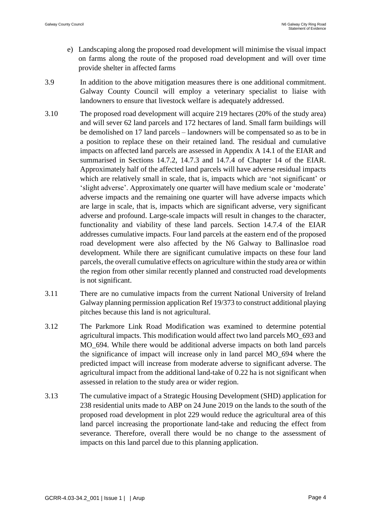- e) Landscaping along the proposed road development will minimise the visual impact on farms along the route of the proposed road development and will over time provide shelter in affected farms
- 3.9 In addition to the above mitigation measures there is one additional commitment. Galway County Council will employ a veterinary specialist to liaise with landowners to ensure that livestock welfare is adequately addressed.
- 3.10 The proposed road development will acquire 219 hectares (20% of the study area) and will sever 62 land parcels and 172 hectares of land. Small farm buildings will be demolished on 17 land parcels – landowners will be compensated so as to be in a position to replace these on their retained land. The residual and cumulative impacts on affected land parcels are assessed in Appendix A 14.1 of the EIAR and summarised in Sections 14.7.2, 14.7.3 and 14.7.4 of Chapter 14 of the EIAR. Approximately half of the affected land parcels will have adverse residual impacts which are relatively small in scale, that is, impacts which are 'not significant' or 'slight adverse'. Approximately one quarter will have medium scale or 'moderate' adverse impacts and the remaining one quarter will have adverse impacts which are large in scale, that is, impacts which are significant adverse, very significant adverse and profound. Large-scale impacts will result in changes to the character, functionality and viability of these land parcels. Section 14.7.4 of the EIAR addresses cumulative impacts. Four land parcels at the eastern end of the proposed road development were also affected by the N6 Galway to Ballinasloe road development. While there are significant cumulative impacts on these four land parcels, the overall cumulative effects on agriculture within the study area or within the region from other similar recently planned and constructed road developments is not significant.
- 3.11 There are no cumulative impacts from the current National University of Ireland Galway planning permission application Ref 19/373 to construct additional playing pitches because this land is not agricultural.
- 3.12 The Parkmore Link Road Modification was examined to determine potential agricultural impacts. This modification would affect two land parcels MO\_693 and MO\_694. While there would be additional adverse impacts on both land parcels the significance of impact will increase only in land parcel MO\_694 where the predicted impact will increase from moderate adverse to significant adverse. The agricultural impact from the additional land-take of 0.22 ha is not significant when assessed in relation to the study area or wider region.
- 3.13 The cumulative impact of a Strategic Housing Development (SHD) application for 238 residential units made to ABP on 24 June 2019 on the lands to the south of the proposed road development in plot 229 would reduce the agricultural area of this land parcel increasing the proportionate land-take and reducing the effect from severance. Therefore, overall there would be no change to the assessment of impacts on this land parcel due to this planning application.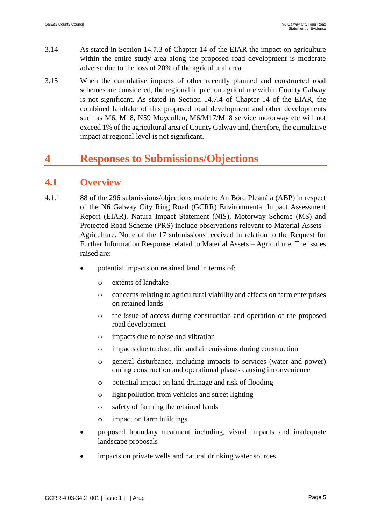- 3.14 As stated in Section 14.7.3 of Chapter 14 of the EIAR the impact on agriculture within the entire study area along the proposed road development is moderate adverse due to the loss of 20% of the agricultural area.
- 3.15 When the cumulative impacts of other recently planned and constructed road schemes are considered, the regional impact on agriculture within County Galway is not significant. As stated in Section 14.7.4 of Chapter 14 of the EIAR, the combined landtake of this proposed road development and other developments such as M6, M18, N59 Moycullen, M6/M17/M18 service motorway etc will not exceed 1% of the agricultural area of County Galway and, therefore, the cumulative impact at regional level is not significant.

# **4 Responses to Submissions/Objections**

## **4.1 Overview**

- 4.1.1 88 of the 296 submissions/objections made to An Bórd Pleanála (ABP) in respect of the N6 Galway City Ring Road (GCRR) Environmental Impact Assessment Report (EIAR), Natura Impact Statement (NIS), Motorway Scheme (MS) and Protected Road Scheme (PRS) include observations relevant to Material Assets - Agriculture. None of the 17 submissions received in relation to the Request for Further Information Response related to Material Assets – Agriculture. The issues raised are:
	- potential impacts on retained land in terms of:
		- o extents of landtake
		- o concerns relating to agricultural viability and effects on farm enterprises on retained lands
		- o the issue of access during construction and operation of the proposed road development
		- o impacts due to noise and vibration
		- o impacts due to dust, dirt and air emissions during construction
		- o general disturbance, including impacts to services (water and power) during construction and operational phases causing inconvenience
		- o potential impact on land drainage and risk of flooding
		- o light pollution from vehicles and street lighting
		- o safety of farming the retained lands
		- o impact on farm buildings
	- proposed boundary treatment including, visual impacts and inadequate landscape proposals
	- impacts on private wells and natural drinking water sources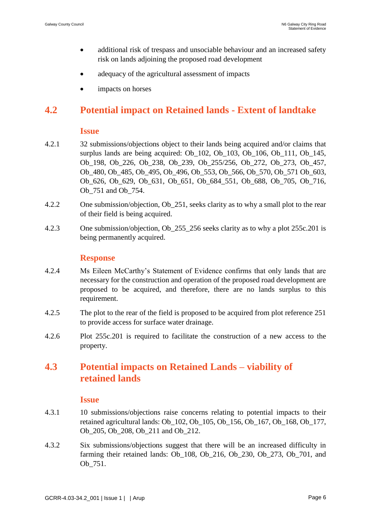- additional risk of trespass and unsociable behaviour and an increased safety risk on lands adjoining the proposed road development
- adequacy of the agricultural assessment of impacts
- impacts on horses

# **4.2 Potential impact on Retained lands - Extent of landtake**

#### **Issue**

- 4.2.1 32 submissions/objections object to their lands being acquired and/or claims that surplus lands are being acquired: Ob 102, Ob 103, Ob 106, Ob 111, Ob 145, Ob\_198, Ob\_226, Ob\_238, Ob\_239, Ob\_255/256, Ob\_272, Ob\_273, Ob\_457, Ob\_480, Ob\_485, Ob\_495, Ob\_496, Ob\_553, Ob\_566, Ob\_570, Ob\_571 Ob\_603, Ob 626, Ob 629, Ob 631, Ob 651, Ob 684 551, Ob 688, Ob 705, Ob 716, Ob\_751 and Ob\_754.
- 4.2.2 One submission/objection, Ob\_251, seeks clarity as to why a small plot to the rear of their field is being acquired.
- 4.2.3 One submission/objection, Ob\_255\_256 seeks clarity as to why a plot 255c.201 is being permanently acquired.

### **Response**

- 4.2.4 Ms Eileen McCarthy's Statement of Evidence confirms that only lands that are necessary for the construction and operation of the proposed road development are proposed to be acquired, and therefore, there are no lands surplus to this requirement.
- 4.2.5 The plot to the rear of the field is proposed to be acquired from plot reference 251 to provide access for surface water drainage.
- 4.2.6 Plot 255c.201 is required to facilitate the construction of a new access to the property.

# **4.3 Potential impacts on Retained Lands – viability of retained lands**

#### **Issue**

- 4.3.1 10 submissions/objections raise concerns relating to potential impacts to their retained agricultural lands: Ob\_102, Ob\_105, Ob\_156, Ob\_167, Ob\_168, Ob\_177, Ob\_205, Ob\_208, Ob\_211 and Ob\_212.
- 4.3.2 Six submissions/objections suggest that there will be an increased difficulty in farming their retained lands: Ob\_108, Ob\_216, Ob\_230, Ob\_273, Ob\_701, and Ob\_751.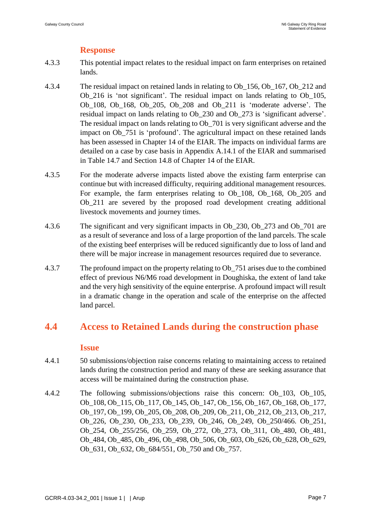## **Response**

- 4.3.3 This potential impact relates to the residual impact on farm enterprises on retained lands.
- 4.3.4 The residual impact on retained lands in relating to Ob\_156, Ob\_167, Ob\_212 and Ob\_216 is 'not significant'. The residual impact on lands relating to Ob\_105, Ob\_108, Ob\_168, Ob\_205, Ob\_208 and Ob\_211 is 'moderate adverse'. The residual impact on lands relating to Ob\_230 and Ob\_273 is 'significant adverse'. The residual impact on lands relating to Ob\_701 is very significant adverse and the impact on Ob\_751 is 'profound'. The agricultural impact on these retained lands has been assessed in Chapter 14 of the EIAR. The impacts on individual farms are detailed on a case by case basis in Appendix A.14.1 of the EIAR and summarised in Table 14.7 and Section 14.8 of Chapter 14 of the EIAR.
- 4.3.5 For the moderate adverse impacts listed above the existing farm enterprise can continue but with increased difficulty, requiring additional management resources. For example, the farm enterprises relating to Ob\_108, Ob\_168, Ob\_205 and Ob\_211 are severed by the proposed road development creating additional livestock movements and journey times.
- 4.3.6 The significant and very significant impacts in Ob\_230, Ob\_273 and Ob\_701 are as a result of severance and loss of a large proportion of the land parcels. The scale of the existing beef enterprises will be reduced significantly due to loss of land and there will be major increase in management resources required due to severance.
- 4.3.7 The profound impact on the property relating to Ob\_751 arises due to the combined effect of previous N6/M6 road development in Doughiska, the extent of land take and the very high sensitivity of the equine enterprise. A profound impact will result in a dramatic change in the operation and scale of the enterprise on the affected land parcel.

# **4.4 Access to Retained Lands during the construction phase**

### **Issue**

- 4.4.1 50 submissions/objection raise concerns relating to maintaining access to retained lands during the construction period and many of these are seeking assurance that access will be maintained during the construction phase.
- 4.4.2 The following submissions/objections raise this concern: Ob\_103, Ob\_105, Ob\_108, Ob\_115, Ob\_117, Ob\_145, Ob\_147, Ob\_156, Ob\_167, Ob\_168, Ob\_177, Ob\_197, Ob\_199, Ob\_205, Ob\_208, Ob\_209, Ob\_211, Ob\_212, Ob\_213, Ob\_217, Ob\_226, Ob\_230, Ob\_233, Ob\_239, Ob\_246, Ob\_249, Ob\_250/466. Ob\_251, Ob\_254, Ob\_255/256, Ob\_259, Ob\_272, Ob\_273, Ob\_311, Ob\_480, Ob\_481, Ob 484, Ob 485, Ob 496, Ob 498, Ob 506, Ob 603, Ob 626, Ob 628, Ob 629, Ob 631, Ob 632, Ob 684/551, Ob 750 and Ob 757.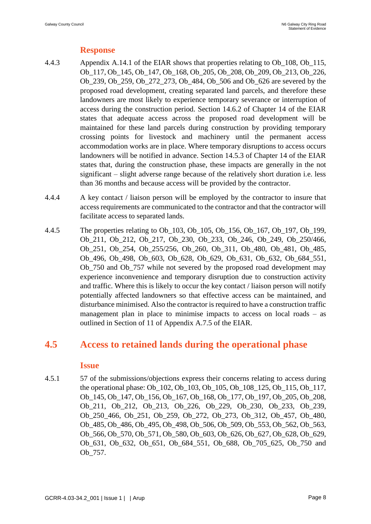## **Response**

- 4.4.3 Appendix A.14.1 of the EIAR shows that properties relating to Ob\_108, Ob\_115, Ob\_117, Ob\_145, Ob\_147, Ob\_168, Ob\_205, Ob\_208, Ob\_209, Ob\_213, Ob\_226, Ob\_239, Ob\_259, Ob\_272\_273, Ob\_484, Ob\_506 and Ob\_626 are severed by the proposed road development, creating separated land parcels, and therefore these landowners are most likely to experience temporary severance or interruption of access during the construction period. Section 14.6.2 of Chapter 14 of the EIAR states that adequate access across the proposed road development will be maintained for these land parcels during construction by providing temporary crossing points for livestock and machinery until the permanent access accommodation works are in place. Where temporary disruptions to access occurs landowners will be notified in advance. Section 14.5.3 of Chapter 14 of the EIAR states that, during the construction phase, these impacts are generally in the not significant – slight adverse range because of the relatively short duration i.e. less than 36 months and because access will be provided by the contractor.
- 4.4.4 A key contact / liaison person will be employed by the contractor to insure that access requirements are communicated to the contractor and that the contractor will facilitate access to separated lands.
- 4.4.5 The properties relating to Ob\_103, Ob\_105, Ob\_156, Ob\_167, Ob\_197, Ob\_199, Ob\_211, Ob\_212, Ob\_217, Ob\_230, Ob\_233, Ob\_246, Ob\_249, Ob\_250/466, Ob\_251, Ob\_254, Ob\_255/256, Ob\_260, Ob\_311, Ob\_480, Ob\_481, Ob\_485, Ob\_496, Ob\_498, Ob\_603, Ob\_628, Ob\_629, Ob\_631, Ob\_632, Ob\_684\_551, Ob\_750 and Ob\_757 while not severed by the proposed road development may experience inconvenience and temporary disruption due to construction activity and traffic. Where this is likely to occur the key contact / liaison person will notify potentially affected landowners so that effective access can be maintained, and disturbance minimised. Also the contractor is required to have a construction traffic management plan in place to minimise impacts to access on local roads – as outlined in Section of 11 of Appendix A.7.5 of the EIAR.

# **4.5 Access to retained lands during the operational phase**

### **Issue**

4.5.1 57 of the submissions/objections express their concerns relating to access during the operational phase: Ob\_102, Ob\_103, Ob\_105, Ob\_108\_125, Ob\_115, Ob\_117, Ob\_145, Ob\_147, Ob\_156, Ob\_167, Ob\_168, Ob\_177, Ob\_197, Ob\_205, Ob\_208, Ob\_211, Ob\_212, Ob\_213, Ob\_226, Ob\_229, Ob\_230, Ob\_233, Ob\_239, Ob\_250\_466, Ob\_251, Ob\_259, Ob\_272, Ob\_273, Ob\_312, Ob\_457, Ob\_480, Ob\_485, Ob\_486, Ob\_495, Ob\_498, Ob\_506, Ob\_509, Ob\_553, Ob\_562, Ob\_563, Ob 566, Ob 570, Ob 571, Ob 580, Ob 603, Ob 626, Ob 627, Ob 628, Ob 629, Ob\_631, Ob\_632, Ob\_651, Ob\_684\_551, Ob\_688, Ob\_705\_625, Ob\_750 and Ob\_757.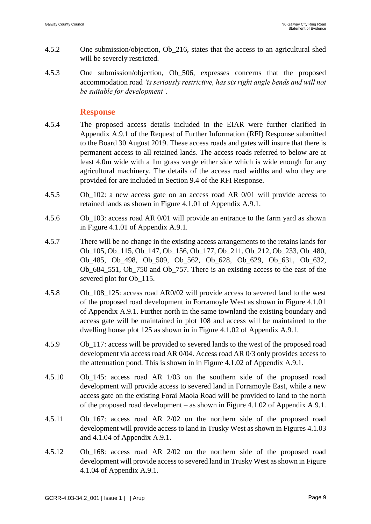- 4.5.2 One submission/objection, Ob\_216, states that the access to an agricultural shed will be severely restricted.
- 4.5.3 One submission/objection, Ob\_506, expresses concerns that the proposed accommodation road *'is seriously restrictive, has six right angle bends and will not be suitable for development'*.

- 4.5.4 The proposed access details included in the EIAR were further clarified in Appendix A.9.1 of the Request of Further Information (RFI) Response submitted to the Board 30 August 2019. These access roads and gates will insure that there is permanent access to all retained lands. The access roads referred to below are at least 4.0m wide with a 1m grass verge either side which is wide enough for any agricultural machinery. The details of the access road widths and who they are provided for are included in Section 9.4 of the RFI Response.
- 4.5.5 Ob\_102: a new access gate on an access road AR 0/01 will provide access to retained lands as shown in Figure 4.1.01 of Appendix A.9.1.
- 4.5.6 Ob\_103: access road AR 0/01 will provide an entrance to the farm yard as shown in Figure 4.1.01 of Appendix A.9.1.
- 4.5.7 There will be no change in the existing access arrangements to the retains lands for Ob\_105, Ob\_115, Ob\_147, Ob\_156, Ob\_177, Ob\_211, Ob\_212, Ob\_233, Ob\_480, Ob\_485, Ob\_498, Ob\_509, Ob\_562, Ob\_628, Ob\_629, Ob\_631, Ob\_632, Ob\_684\_551, Ob\_750 and Ob\_757. There is an existing access to the east of the severed plot for Ob 115.
- 4.5.8 Ob\_108\_125: access road AR0/02 will provide access to severed land to the west of the proposed road development in Forramoyle West as shown in Figure 4.1.01 of Appendix A.9.1. Further north in the same townland the existing boundary and access gate will be maintained in plot 108 and access will be maintained to the dwelling house plot 125 as shown in in Figure 4.1.02 of Appendix A.9.1.
- 4.5.9 Ob\_117: access will be provided to severed lands to the west of the proposed road development via access road AR 0/04. Access road AR 0/3 only provides access to the attenuation pond. This is shown in in Figure 4.1.02 of Appendix A.9.1.
- 4.5.10 Ob\_145: access road AR 1/03 on the southern side of the proposed road development will provide access to severed land in Forramoyle East, while a new access gate on the existing Forai Maola Road will be provided to land to the north of the proposed road development – as shown in Figure 4.1.02 of Appendix A.9.1.
- 4.5.11 Ob\_167: access road AR 2/02 on the northern side of the proposed road development will provide access to land in Trusky West as shown in Figures 4.1.03 and 4.1.04 of Appendix A.9.1.
- 4.5.12 Ob\_168: access road AR 2/02 on the northern side of the proposed road development will provide access to severed land in Trusky West as shown in Figure 4.1.04 of Appendix A.9.1.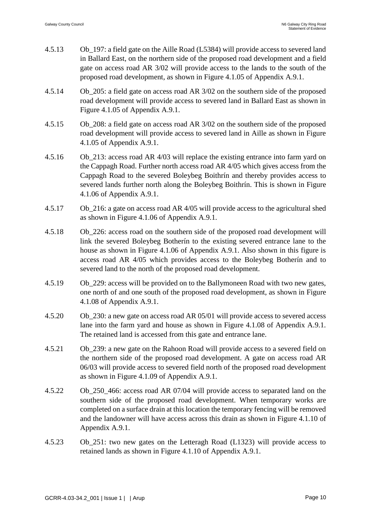| 4.5.13 | Ob_197: a field gate on the Aille Road (L5384) will provide access to severed land |
|--------|------------------------------------------------------------------------------------|
|        | in Ballard East, on the northern side of the proposed road development and a field |
|        | gate on access road AR 3/02 will provide access to the lands to the south of the   |
|        | proposed road development, as shown in Figure 4.1.05 of Appendix A.9.1.            |

- 4.5.14 Ob\_205: a field gate on access road AR 3/02 on the southern side of the proposed road development will provide access to severed land in Ballard East as shown in Figure 4.1.05 of Appendix A.9.1.
- 4.5.15 Ob\_208: a field gate on access road AR 3/02 on the southern side of the proposed road development will provide access to severed land in Aille as shown in Figure 4.1.05 of Appendix A.9.1.
- 4.5.16 Ob\_213: access road AR 4/03 will replace the existing entrance into farm yard on the Cappagh Road. Further north access road AR 4/05 which gives access from the Cappagh Road to the severed Boleybeg Boithrín and thereby provides access to severed lands further north along the Boleybeg Boithrín. This is shown in Figure 4.1.06 of Appendix A.9.1.
- 4.5.17 Ob\_216: a gate on access road AR 4/05 will provide access to the agricultural shed as shown in Figure 4.1.06 of Appendix A.9.1.
- 4.5.18 Ob\_226: access road on the southern side of the proposed road development will link the severed Boleybeg Botherín to the existing severed entrance lane to the house as shown in Figure 4.1.06 of Appendix A.9.1. Also shown in this figure is access road AR 4/05 which provides access to the Boleybeg Botherín and to severed land to the north of the proposed road development.
- 4.5.19 Ob\_229: access will be provided on to the Ballymoneen Road with two new gates, one north of and one south of the proposed road development, as shown in Figure 4.1.08 of Appendix A.9.1.
- 4.5.20 Ob\_230: a new gate on access road AR 05/01 will provide access to severed access lane into the farm yard and house as shown in Figure 4.1.08 of Appendix A.9.1. The retained land is accessed from this gate and entrance lane.
- 4.5.21 Ob\_239: a new gate on the Rahoon Road will provide access to a severed field on the northern side of the proposed road development. A gate on access road AR 06/03 will provide access to severed field north of the proposed road development as shown in Figure 4.1.09 of Appendix A.9.1.
- 4.5.22 Ob\_250\_466: access road AR 07/04 will provide access to separated land on the southern side of the proposed road development. When temporary works are completed on a surface drain at this location the temporary fencing will be removed and the landowner will have access across this drain as shown in Figure 4.1.10 of Appendix A.9.1.
- 4.5.23 Ob\_251: two new gates on the Letteragh Road (L1323) will provide access to retained lands as shown in Figure 4.1.10 of Appendix A.9.1.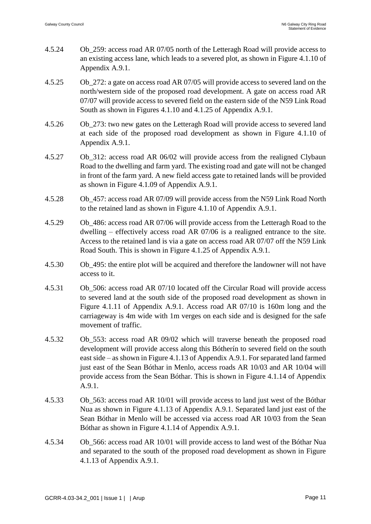- 4.5.24 Ob\_259: access road AR 07/05 north of the Letteragh Road will provide access to an existing access lane, which leads to a severed plot, as shown in Figure 4.1.10 of Appendix A.9.1.
- 4.5.25 Ob\_272: a gate on access road AR 07/05 will provide access to severed land on the north/western side of the proposed road development. A gate on access road AR 07/07 will provide access to severed field on the eastern side of the N59 Link Road South as shown in Figures 4.1.10 and 4.1.25 of Appendix A.9.1.
- 4.5.26 Ob\_273: two new gates on the Letteragh Road will provide access to severed land at each side of the proposed road development as shown in Figure 4.1.10 of Appendix A.9.1.
- 4.5.27 Ob\_312: access road AR 06/02 will provide access from the realigned Clybaun Road to the dwelling and farm yard. The existing road and gate will not be changed in front of the farm yard. A new field access gate to retained lands will be provided as shown in Figure 4.1.09 of Appendix A.9.1.
- 4.5.28 Ob\_457: access road AR 07/09 will provide access from the N59 Link Road North to the retained land as shown in Figure 4.1.10 of Appendix A.9.1.
- 4.5.29 Ob\_486: access road AR 07/06 will provide access from the Letteragh Road to the dwelling – effectively access road AR 07/06 is a realigned entrance to the site. Access to the retained land is via a gate on access road AR 07/07 off the N59 Link Road South. This is shown in Figure 4.1.25 of Appendix A.9.1.
- 4.5.30 Ob\_495: the entire plot will be acquired and therefore the landowner will not have access to it.
- 4.5.31 Ob\_506: access road AR 07/10 located off the Circular Road will provide access to severed land at the south side of the proposed road development as shown in Figure 4.1.11 of Appendix A.9.1. Access road AR 07/10 is 160m long and the carriageway is 4m wide with 1m verges on each side and is designed for the safe movement of traffic.
- 4.5.32 Ob\_553: access road AR 09/02 which will traverse beneath the proposed road development will provide access along this Bótherín to severed field on the south east side – as shown in Figure 4.1.13 of Appendix A.9.1. For separated land farmed just east of the Sean Bóthar in Menlo, access roads AR 10/03 and AR 10/04 will provide access from the Sean Bóthar. This is shown in Figure 4.1.14 of Appendix A.9.1.
- 4.5.33 Ob\_563: access road AR 10/01 will provide access to land just west of the Bóthar Nua as shown in Figure 4.1.13 of Appendix A.9.1. Separated land just east of the Sean Bóthar in Menlo will be accessed via access road AR 10/03 from the Sean Bóthar as shown in Figure 4.1.14 of Appendix A.9.1.
- 4.5.34 Ob\_566: access road AR 10/01 will provide access to land west of the Bóthar Nua and separated to the south of the proposed road development as shown in Figure 4.1.13 of Appendix A.9.1.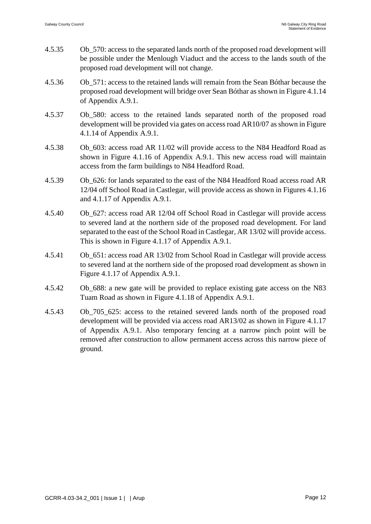- 4.5.35 Ob\_570: access to the separated lands north of the proposed road development will be possible under the Menlough Viaduct and the access to the lands south of the proposed road development will not change.
- 4.5.36 Ob\_571: access to the retained lands will remain from the Sean Bóthar because the proposed road development will bridge over Sean Bóthar as shown in Figure 4.1.14 of Appendix A.9.1.
- 4.5.37 Ob\_580: access to the retained lands separated north of the proposed road development will be provided via gates on access road AR10/07 as shown in Figure 4.1.14 of Appendix A.9.1.
- 4.5.38 Ob\_603: access road AR 11/02 will provide access to the N84 Headford Road as shown in Figure 4.1.16 of Appendix A.9.1. This new access road will maintain access from the farm buildings to N84 Headford Road.
- 4.5.39 Ob\_626: for lands separated to the east of the N84 Headford Road access road AR 12/04 off School Road in Castlegar, will provide access as shown in Figures 4.1.16 and 4.1.17 of Appendix A.9.1.
- 4.5.40 Ob\_627: access road AR 12/04 off School Road in Castlegar will provide access to severed land at the northern side of the proposed road development. For land separated to the east of the School Road in Castlegar, AR 13/02 will provide access. This is shown in Figure 4.1.17 of Appendix A.9.1.
- 4.5.41 Ob\_651: access road AR 13/02 from School Road in Castlegar will provide access to severed land at the northern side of the proposed road development as shown in Figure 4.1.17 of Appendix A.9.1.
- 4.5.42 Ob\_688: a new gate will be provided to replace existing gate access on the N83 Tuam Road as shown in Figure 4.1.18 of Appendix A.9.1.
- 4.5.43 Ob\_705\_625: access to the retained severed lands north of the proposed road development will be provided via access road AR13/02 as shown in Figure 4.1.17 of Appendix A.9.1. Also temporary fencing at a narrow pinch point will be removed after construction to allow permanent access across this narrow piece of ground.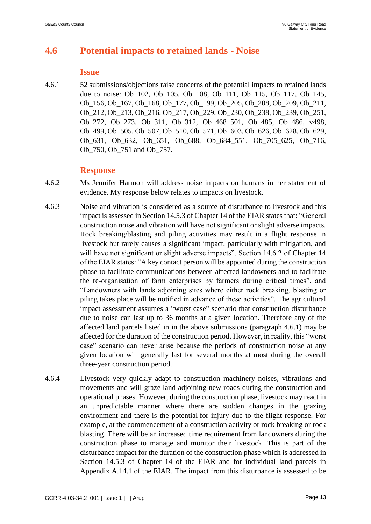# **4.6 Potential impacts to retained lands - Noise**

#### **Issue**

4.6.1 52 submissions/objections raise concerns of the potential impacts to retained lands due to noise: Ob\_102, Ob\_105, Ob\_108, Ob\_111, Ob\_115, Ob\_117, Ob\_145, Ob\_156, Ob\_167, Ob\_168, Ob\_177, Ob\_199, Ob\_205, Ob\_208, Ob\_209, Ob\_211, Ob\_212, Ob\_213, Ob\_216, Ob\_217, Ob\_229, Ob\_230, Ob\_238, Ob\_239, Ob\_251, Ob\_272, Ob\_273, Ob\_311, Ob\_312, Ob\_468\_501, Ob\_485, Ob\_486, v498, Ob\_499, Ob\_505, Ob\_507, Ob\_510, Ob\_571, Ob\_603, Ob\_626, Ob\_628, Ob\_629, Ob\_631, Ob\_632, Ob\_651, Ob\_688, Ob\_684\_551, Ob\_705\_625, Ob\_716, Ob\_750, Ob\_751 and Ob\_757.

- 4.6.2 Ms Jennifer Harmon will address noise impacts on humans in her statement of evidence. My response below relates to impacts on livestock.
- 4.6.3 Noise and vibration is considered as a source of disturbance to livestock and this impact is assessed in Section 14.5.3 of Chapter 14 of the EIAR states that: "General construction noise and vibration will have not significant or slight adverse impacts. Rock breaking/blasting and piling activities may result in a flight response in livestock but rarely causes a significant impact, particularly with mitigation, and will have not significant or slight adverse impacts". Section 14.6.2 of Chapter 14 of the EIAR states: "A key contact person will be appointed during the construction phase to facilitate communications between affected landowners and to facilitate the re-organisation of farm enterprises by farmers during critical times", and "Landowners with lands adjoining sites where either rock breaking, blasting or piling takes place will be notified in advance of these activities". The agricultural impact assessment assumes a "worst case" scenario that construction disturbance due to noise can last up to 36 months at a given location. Therefore any of the affected land parcels listed in in the above submissions (paragraph 4.6.1) may be affected for the duration of the construction period. However, in reality, this "worst case" scenario can never arise because the periods of construction noise at any given location will generally last for several months at most during the overall three-year construction period.
- 4.6.4 Livestock very quickly adapt to construction machinery noises, vibrations and movements and will graze land adjoining new roads during the construction and operational phases. However, during the construction phase, livestock may react in an unpredictable manner where there are sudden changes in the grazing environment and there is the potential for injury due to the flight response. For example, at the commencement of a construction activity or rock breaking or rock blasting. There will be an increased time requirement from landowners during the construction phase to manage and monitor their livestock. This is part of the disturbance impact for the duration of the construction phase which is addressed in Section 14.5.3 of Chapter 14 of the EIAR and for individual land parcels in Appendix A.14.1 of the EIAR. The impact from this disturbance is assessed to be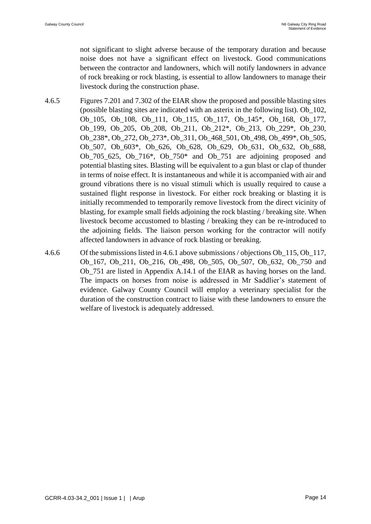not significant to slight adverse because of the temporary duration and because noise does not have a significant effect on livestock. Good communications between the contractor and landowners, which will notify landowners in advance of rock breaking or rock blasting, is essential to allow landowners to manage their livestock during the construction phase.

- 4.6.5 Figures 7.201 and 7.302 of the EIAR show the proposed and possible blasting sites (possible blasting sites are indicated with an asterix in the following list). Ob\_102, Ob\_105, Ob\_108, Ob\_111, Ob\_115, Ob\_117, Ob\_145\*, Ob\_168, Ob\_177, Ob\_199, Ob\_205, Ob\_208, Ob\_211, Ob\_212\*, Ob\_213, Ob\_229\*, Ob\_230, Ob\_238\*, Ob\_272, Ob\_273\*, Ob\_311, Ob\_468\_501, Ob\_498, Ob\_499\*, Ob\_505, Ob\_507, Ob\_603\*, Ob\_626, Ob\_628, Ob\_629, Ob\_631, Ob\_632, Ob\_688, Ob\_705\_625, Ob\_716\*, Ob\_750\* and Ob\_751 are adjoining proposed and potential blasting sites. Blasting will be equivalent to a gun blast or clap of thunder in terms of noise effect. It is instantaneous and while it is accompanied with air and ground vibrations there is no visual stimuli which is usually required to cause a sustained flight response in livestock. For either rock breaking or blasting it is initially recommended to temporarily remove livestock from the direct vicinity of blasting, for example small fields adjoining the rock blasting / breaking site. When livestock become accustomed to blasting / breaking they can be re-introduced to the adjoining fields. The liaison person working for the contractor will notify affected landowners in advance of rock blasting or breaking.
- 4.6.6 Of the submissions listed in 4.6.1 above submissions / objections Ob\_115, Ob\_117, Ob\_167, Ob\_211, Ob\_216, Ob\_498, Ob\_505, Ob\_507, Ob\_632, Ob\_750 and Ob\_751 are listed in Appendix A.14.1 of the EIAR as having horses on the land. The impacts on horses from noise is addressed in Mr Saddlier's statement of evidence. Galway County Council will employ a veterinary specialist for the duration of the construction contract to liaise with these landowners to ensure the welfare of livestock is adequately addressed.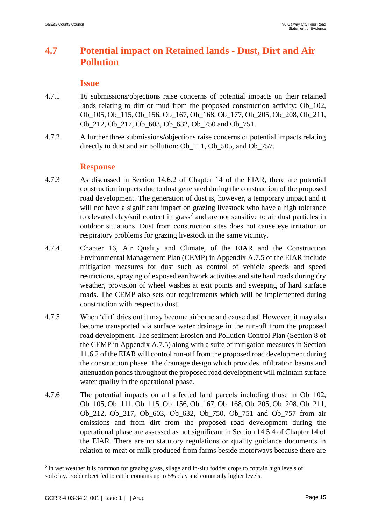# **4.7 Potential impact on Retained lands - Dust, Dirt and Air Pollution**

#### **Issue**

- 4.7.1 16 submissions/objections raise concerns of potential impacts on their retained lands relating to dirt or mud from the proposed construction activity: Ob\_102, Ob\_105, Ob\_115, Ob\_156, Ob\_167, Ob\_168, Ob\_177, Ob\_205, Ob\_208, Ob\_211, Ob\_212, Ob\_217, Ob\_603, Ob\_632, Ob\_750 and Ob\_751.
- 4.7.2 A further three submissions/objections raise concerns of potential impacts relating directly to dust and air pollution: Ob 111, Ob 505, and Ob 757.

#### **Response**

- 4.7.3 As discussed in Section 14.6.2 of Chapter 14 of the EIAR, there are potential construction impacts due to dust generated during the construction of the proposed road development. The generation of dust is, however, a temporary impact and it will not have a significant impact on grazing livestock who have a high tolerance to elevated clay/soil content in  $grass<sup>2</sup>$  and are not sensitive to air dust particles in outdoor situations. Dust from construction sites does not cause eye irritation or respiratory problems for grazing livestock in the same vicinity.
- 4.7.4 Chapter 16, Air Quality and Climate, of the EIAR and the Construction Environmental Management Plan (CEMP) in Appendix A.7.5 of the EIAR include mitigation measures for dust such as control of vehicle speeds and speed restrictions, spraying of exposed earthwork activities and site haul roads during dry weather, provision of wheel washes at exit points and sweeping of hard surface roads. The CEMP also sets out requirements which will be implemented during construction with respect to dust.
- 4.7.5 When 'dirt' dries out it may become airborne and cause dust. However, it may also become transported via surface water drainage in the run-off from the proposed road development. The sediment Erosion and Pollution Control Plan (Section 8 of the CEMP in Appendix A.7.5) along with a suite of mitigation measures in Section 11.6.2 of the EIAR will control run-off from the proposed road development during the construction phase. The drainage design which provides infiltration basins and attenuation ponds throughout the proposed road development will maintain surface water quality in the operational phase.
- 4.7.6 The potential impacts on all affected land parcels including those in Ob\_102, Ob\_105, Ob\_111, Ob\_115, Ob\_156, Ob\_167, Ob\_168, Ob\_205, Ob\_208, Ob\_211, Ob\_212, Ob\_217, Ob\_603, Ob\_632, Ob\_750, Ob\_751 and Ob\_757 from air emissions and from dirt from the proposed road development during the operational phase are assessed as not significant in Section 14.5.4 of Chapter 14 of the EIAR. There are no statutory regulations or quality guidance documents in relation to meat or milk produced from farms beside motorways because there are

1

<sup>&</sup>lt;sup>2</sup> In wet weather it is common for grazing grass, silage and in-situ fodder crops to contain high levels of soil/clay. Fodder beet fed to cattle contains up to 5% clay and commonly higher levels.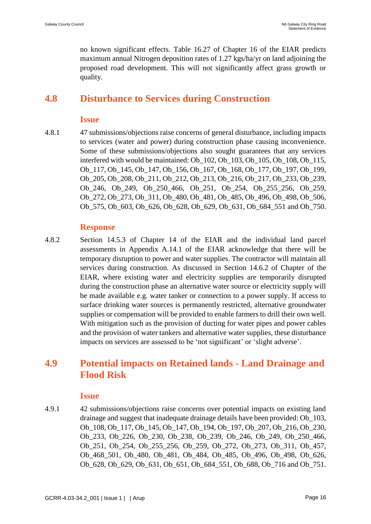no known significant effects. Table 16.27 of Chapter 16 of the EIAR predicts maximum annual Nitrogen deposition rates of 1.27 kgs/ha/yr on land adjoining the proposed road development. This will not significantly affect grass growth or quality.

# **4.8 Disturbance to Services during Construction**

### **Issue**

4.8.1 47 submissions/objections raise concerns of general disturbance, including impacts to services (water and power) during construction phase causing inconvenience. Some of these submissions/objections also sought guarantees that any services interfered with would be maintained: Ob\_102, Ob\_103, Ob\_105, Ob\_108, Ob\_115, Ob\_117, Ob\_145, Ob\_147, Ob\_156, Ob\_167, Ob\_168, Ob\_177, Ob\_197, Ob\_199, Ob\_205, Ob\_208, Ob\_211, Ob\_212, Ob\_213, Ob\_216, Ob\_217, Ob\_233, Ob\_239, Ob\_246, Ob\_249, Ob\_250\_466, Ob\_251, Ob\_254, Ob\_255\_256, Ob\_259, Ob\_272, Ob\_273, Ob\_311, Ob\_480, Ob\_481, Ob\_485, Ob\_496, Ob\_498, Ob\_506, Ob\_575, Ob\_603, Ob\_626, Ob\_628, Ob\_629, Ob\_631, Ob\_684\_551 and Ob\_750.

## **Response**

4.8.2 Section 14.5.3 of Chapter 14 of the EIAR and the individual land parcel assessments in Appendix A.14.1 of the EIAR acknowledge that there will be temporary disruption to power and water supplies. The contractor will maintain all services during construction. As discussed in Section 14.6.2 of Chapter of the EIAR, where existing water and electricity supplies are temporarily disrupted during the construction phase an alternative water source or electricity supply will be made available e.g. water tanker or connection to a power supply. If access to surface drinking water sources is permanently restricted, alternative groundwater supplies or compensation will be provided to enable farmers to drill their own well. With mitigation such as the provision of ducting for water pipes and power cables and the provision of water tankers and alternative water supplies, these disturbance impacts on services are assessed to be 'not significant' or 'slight adverse'.

# **4.9 Potential impacts on Retained lands - Land Drainage and Flood Risk**

### **Issue**

4.9.1 42 submissions/objections raise concerns over potential impacts on existing land drainage and suggest that inadequate drainage details have been provided: Ob\_103, Ob\_108, Ob\_117, Ob\_145, Ob\_147, Ob\_194, Ob\_197, Ob\_207, Ob\_216, Ob\_230, Ob\_233, Ob\_226, Ob\_230, Ob\_238, Ob\_239, Ob\_246, Ob\_249, Ob\_250\_466, Ob\_251, Ob\_254, Ob\_255\_256, Ob\_259, Ob\_272, Ob\_273, Ob\_311, Ob\_457, Ob\_468\_501, Ob\_480, Ob\_481, Ob\_484, Ob\_485, Ob\_496, Ob\_498, Ob\_626, Ob 628, Ob 629, Ob 631, Ob 651, Ob 684 551, Ob 688, Ob 716 and Ob 751.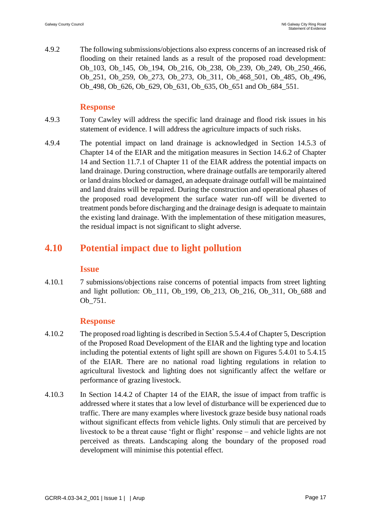4.9.2 The following submissions/objections also express concerns of an increased risk of flooding on their retained lands as a result of the proposed road development: Ob\_103, Ob\_145, Ob\_194, Ob\_216, Ob\_238, Ob\_239, Ob\_249, Ob\_250\_466, Ob\_251, Ob\_259, Ob\_273, Ob\_273, Ob\_311, Ob\_468\_501, Ob\_485, Ob\_496, Ob 498, Ob 626, Ob 629, Ob 631, Ob 635, Ob 651 and Ob 684 551.

## **Response**

- 4.9.3 Tony Cawley will address the specific land drainage and flood risk issues in his statement of evidence. I will address the agriculture impacts of such risks.
- 4.9.4 The potential impact on land drainage is acknowledged in Section 14.5.3 of Chapter 14 of the EIAR and the mitigation measures in Section 14.6.2 of Chapter 14 and Section 11.7.1 of Chapter 11 of the EIAR address the potential impacts on land drainage. During construction, where drainage outfalls are temporarily altered or land drains blocked or damaged, an adequate drainage outfall will be maintained and land drains will be repaired. During the construction and operational phases of the proposed road development the surface water run-off will be diverted to treatment ponds before discharging and the drainage design is adequate to maintain the existing land drainage. With the implementation of these mitigation measures, the residual impact is not significant to slight adverse.

# **4.10 Potential impact due to light pollution**

### **Issue**

4.10.1 7 submissions/objections raise concerns of potential impacts from street lighting and light pollution: Ob\_111, Ob\_199, Ob\_213, Ob\_216, Ob\_311, Ob\_688 and Ob\_751.

- 4.10.2 The proposed road lighting is described in Section 5.5.4.4 of Chapter 5, Description of the Proposed Road Development of the EIAR and the lighting type and location including the potential extents of light spill are shown on Figures 5.4.01 to 5.4.15 of the EIAR. There are no national road lighting regulations in relation to agricultural livestock and lighting does not significantly affect the welfare or performance of grazing livestock.
- 4.10.3 In Section 14.4.2 of Chapter 14 of the EIAR, the issue of impact from traffic is addressed where it states that a low level of disturbance will be experienced due to traffic. There are many examples where livestock graze beside busy national roads without significant effects from vehicle lights. Only stimuli that are perceived by livestock to be a threat cause 'fight or flight' response – and vehicle lights are not perceived as threats. Landscaping along the boundary of the proposed road development will minimise this potential effect.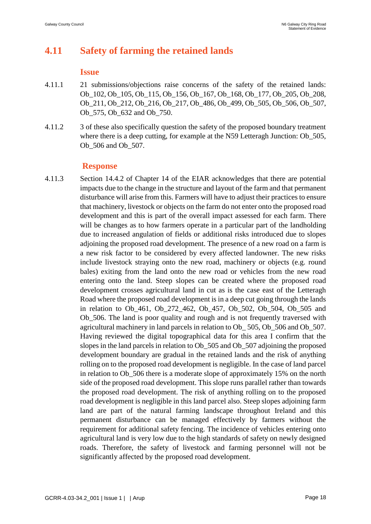# **4.11 Safety of farming the retained lands**

#### **Issue**

- 4.11.1 21 submissions/objections raise concerns of the safety of the retained lands: Ob\_102, Ob\_105, Ob\_115, Ob\_156, Ob\_167, Ob\_168, Ob\_177, Ob\_205, Ob\_208, Ob\_211, Ob\_212, Ob\_216, Ob\_217, Ob\_486, Ob\_499, Ob\_505, Ob\_506, Ob\_507, Ob 575, Ob 632 and Ob 750.
- 4.11.2 3 of these also specifically question the safety of the proposed boundary treatment where there is a deep cutting, for example at the N59 Letteragh Junction: Ob\_505, Ob\_506 and Ob\_507.

## **Response**

4.11.3 Section 14.4.2 of Chapter 14 of the EIAR acknowledges that there are potential impacts due to the change in the structure and layout of the farm and that permanent disturbance will arise from this. Farmers will have to adjust their practices to ensure that machinery, livestock or objects on the farm do not enter onto the proposed road development and this is part of the overall impact assessed for each farm. There will be changes as to how farmers operate in a particular part of the landholding due to increased angulation of fields or additional risks introduced due to slopes adjoining the proposed road development. The presence of a new road on a farm is a new risk factor to be considered by every affected landowner. The new risks include livestock straying onto the new road, machinery or objects (e.g. round bales) exiting from the land onto the new road or vehicles from the new road entering onto the land. Steep slopes can be created where the proposed road development crosses agricultural land in cut as is the case east of the Letteragh Road where the proposed road development is in a deep cut going through the lands in relation to Ob\_461, Ob\_272\_462, Ob\_457, Ob\_502, Ob\_504, Ob\_505 and Ob\_506. The land is poor quality and rough and is not frequently traversed with agricultural machinery in land parcels in relation to Ob\_ 505, Ob\_506 and Ob\_507. Having reviewed the digital topographical data for this area I confirm that the slopes in the land parcels in relation to Ob\_505 and Ob\_507 adjoining the proposed development boundary are gradual in the retained lands and the risk of anything rolling on to the proposed road development is negligible. In the case of land parcel in relation to Ob\_506 there is a moderate slope of approximately 15% on the north side of the proposed road development. This slope runs parallel rather than towards the proposed road development. The risk of anything rolling on to the proposed road development is negligible in this land parcel also. Steep slopes adjoining farm land are part of the natural farming landscape throughout Ireland and this permanent disturbance can be managed effectively by farmers without the requirement for additional safety fencing. The incidence of vehicles entering onto agricultural land is very low due to the high standards of safety on newly designed roads. Therefore, the safety of livestock and farming personnel will not be significantly affected by the proposed road development.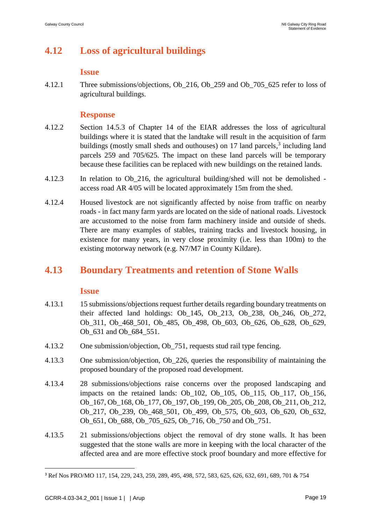# **4.12 Loss of agricultural buildings**

#### **Issue**

4.12.1 Three submissions/objections, Ob\_216, Ob\_259 and Ob\_705\_625 refer to loss of agricultural buildings.

## **Response**

- 4.12.2 Section 14.5.3 of Chapter 14 of the EIAR addresses the loss of agricultural buildings where it is stated that the landtake will result in the acquisition of farm buildings (mostly small sheds and outhouses) on 17 land parcels,<sup>3</sup> including land parcels 259 and 705/625. The impact on these land parcels will be temporary because these facilities can be replaced with new buildings on the retained lands.
- 4.12.3 In relation to Ob\_216, the agricultural building/shed will not be demolished access road AR 4/05 will be located approximately 15m from the shed.
- 4.12.4 Housed livestock are not significantly affected by noise from traffic on nearby roads - in fact many farm yards are located on the side of national roads. Livestock are accustomed to the noise from farm machinery inside and outside of sheds. There are many examples of stables, training tracks and livestock housing, in existence for many years, in very close proximity (i.e. less than 100m) to the existing motorway network (e.g. N7/M7 in County Kildare).

# **4.13 Boundary Treatments and retention of Stone Walls**

### **Issue**

- 4.13.1 15 submissions/objections request further details regarding boundary treatments on their affected land holdings: Ob\_145, Ob\_213, Ob\_238, Ob\_246, Ob\_272, Ob\_311, Ob\_468\_501, Ob\_485, Ob\_498, Ob\_603, Ob\_626, Ob\_628, Ob\_629, Ob 631 and Ob 684 551.
- 4.13.2 One submission/objection, Ob\_751, requests stud rail type fencing.
- 4.13.3 One submission/objection, Ob\_226, queries the responsibility of maintaining the proposed boundary of the proposed road development.
- 4.13.4 28 submissions/objections raise concerns over the proposed landscaping and impacts on the retained lands: Ob\_102, Ob\_105, Ob\_115, Ob\_117, Ob\_156, Ob\_167, Ob\_168, Ob\_177, Ob\_197, Ob\_199, Ob\_205, Ob\_208, Ob\_211, Ob\_212, Ob\_217, Ob\_239, Ob\_468\_501, Ob\_499, Ob\_575, Ob\_603, Ob\_620, Ob\_632, Ob 651, Ob 688, Ob 705 625, Ob 716, Ob 750 and Ob 751.
- 4.13.5 21 submissions/objections object the removal of dry stone walls. It has been suggested that the stone walls are more in keeping with the local character of the affected area and are more effective stock proof boundary and more effective for

<u>.</u>

<sup>3</sup> Ref Nos PRO/MO 117, 154, 229, 243, 259, 289, 495, 498, 572, 583, 625, 626, 632, 691, 689, 701 & 754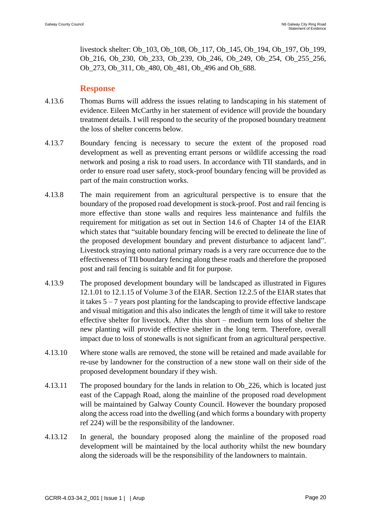livestock shelter: Ob\_103, Ob\_108, Ob\_117, Ob\_145, Ob\_194, Ob\_197, Ob\_199, Ob\_216, Ob\_230, Ob\_233, Ob\_239, Ob\_246, Ob\_249, Ob\_254, Ob\_255\_256, Ob\_273, Ob\_311, Ob\_480, Ob\_481, Ob\_496 and Ob\_688.

- 4.13.6 Thomas Burns will address the issues relating to landscaping in his statement of evidence. Eileen McCarthy in her statement of evidence will provide the boundary treatment details. I will respond to the security of the proposed boundary treatment the loss of shelter concerns below.
- 4.13.7 Boundary fencing is necessary to secure the extent of the proposed road development as well as preventing errant persons or wildlife accessing the road network and posing a risk to road users. In accordance with TII standards, and in order to ensure road user safety, stock-proof boundary fencing will be provided as part of the main construction works.
- 4.13.8 The main requirement from an agricultural perspective is to ensure that the boundary of the proposed road development is stock-proof. Post and rail fencing is more effective than stone walls and requires less maintenance and fulfils the requirement for mitigation as set out in Section 14.6 of Chapter 14 of the EIAR which states that "suitable boundary fencing will be erected to delineate the line of the proposed development boundary and prevent disturbance to adjacent land". Livestock straying onto national primary roads is a very rare occurrence due to the effectiveness of TII boundary fencing along these roads and therefore the proposed post and rail fencing is suitable and fit for purpose.
- 4.13.9 The proposed development boundary will be landscaped as illustrated in Figures 12.1.01 to 12.1.15 of Volume 3 of the EIAR. Section 12.2.5 of the EIAR states that it takes 5 – 7 years post planting for the landscaping to provide effective landscape and visual mitigation and this also indicates the length of time it will take to restore effective shelter for livestock. After this short – medium term loss of shelter the new planting will provide effective shelter in the long term. Therefore, overall impact due to loss of stonewalls is not significant from an agricultural perspective.
- 4.13.10 Where stone walls are removed, the stone will be retained and made available for re-use by landowner for the construction of a new stone wall on their side of the proposed development boundary if they wish.
- 4.13.11 The proposed boundary for the lands in relation to Ob\_226, which is located just east of the Cappagh Road, along the mainline of the proposed road development will be maintained by Galway County Council. However the boundary proposed along the access road into the dwelling (and which forms a boundary with property ref 224) will be the responsibility of the landowner.
- 4.13.12 In general, the boundary proposed along the mainline of the proposed road development will be maintained by the local authority whilst the new boundary along the sideroads will be the responsibility of the landowners to maintain.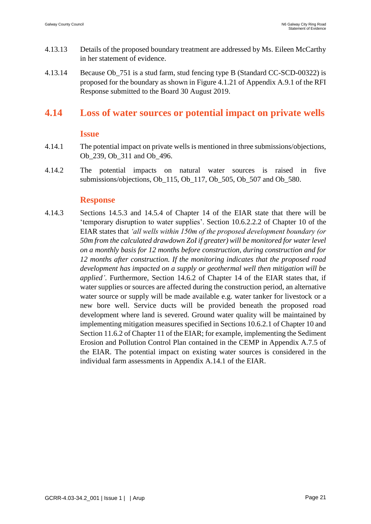- 4.13.13 Details of the proposed boundary treatment are addressed by Ms. Eileen McCarthy in her statement of evidence.
- 4.13.14 Because Ob\_751 is a stud farm, stud fencing type B (Standard CC-SCD-00322) is proposed for the boundary as shown in Figure 4.1.21 of Appendix A.9.1 of the RFI Response submitted to the Board 30 August 2019.

## **4.14 Loss of water sources or potential impact on private wells**

#### **Issue**

- 4.14.1 The potential impact on private wells is mentioned in three submissions/objections, Ob 239, Ob 311 and Ob 496.
- 4.14.2 The potential impacts on natural water sources is raised in five submissions/objections, Ob\_115, Ob\_117, Ob\_505, Ob\_507 and Ob\_580.

### **Response**

4.14.3 Sections 14.5.3 and 14.5.4 of Chapter 14 of the EIAR state that there will be 'temporary disruption to water supplies'. Section 10.6.2.2.2 of Chapter 10 of the EIAR states that *'all wells within 150m of the proposed development boundary (or 50m from the calculated drawdown ZoI if greater) will be monitored for water level on a monthly basis for 12 months before construction, during construction and for 12 months after construction. If the monitoring indicates that the proposed road development has impacted on a supply or geothermal well then mitigation will be applied'*. Furthermore, Section 14.6.2 of Chapter 14 of the EIAR states that, if water supplies or sources are affected during the construction period, an alternative water source or supply will be made available e.g. water tanker for livestock or a new bore well. Service ducts will be provided beneath the proposed road development where land is severed. Ground water quality will be maintained by implementing mitigation measures specified in Sections 10.6.2.1 of Chapter 10 and Section 11.6.2 of Chapter 11 of the EIAR; for example, implementing the Sediment Erosion and Pollution Control Plan contained in the CEMP in Appendix A.7.5 of the EIAR. The potential impact on existing water sources is considered in the individual farm assessments in Appendix A.14.1 of the EIAR.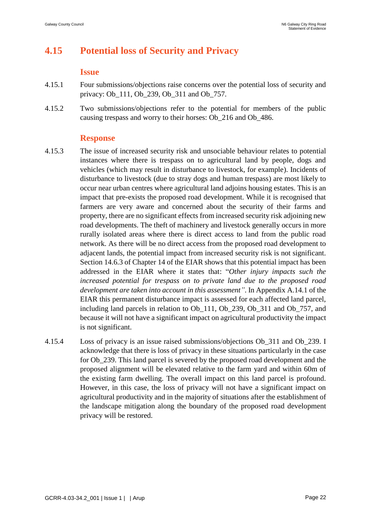# **4.15 Potential loss of Security and Privacy**

#### **Issue**

- 4.15.1 Four submissions/objections raise concerns over the potential loss of security and privacy: Ob 111, Ob 239, Ob 311 and Ob 757.
- 4.15.2 Two submissions/objections refer to the potential for members of the public causing trespass and worry to their horses: Ob\_216 and Ob\_486.

- 4.15.3 The issue of increased security risk and unsociable behaviour relates to potential instances where there is trespass on to agricultural land by people, dogs and vehicles (which may result in disturbance to livestock, for example). Incidents of disturbance to livestock (due to stray dogs and human trespass) are most likely to occur near urban centres where agricultural land adjoins housing estates. This is an impact that pre-exists the proposed road development. While it is recognised that farmers are very aware and concerned about the security of their farms and property, there are no significant effects from increased security risk adjoining new road developments. The theft of machinery and livestock generally occurs in more rurally isolated areas where there is direct access to land from the public road network. As there will be no direct access from the proposed road development to adjacent lands, the potential impact from increased security risk is not significant. Section 14.6.3 of Chapter 14 of the EIAR shows that this potential impact has been addressed in the EIAR where it states that: "*Other injury impacts such the increased potential for trespass on to private land due to the proposed road development are taken into account in this assessment"*. In Appendix A.14.1 of the EIAR this permanent disturbance impact is assessed for each affected land parcel, including land parcels in relation to Ob\_111, Ob\_239, Ob\_311 and Ob\_757, and because it will not have a significant impact on agricultural productivity the impact is not significant.
- 4.15.4 Loss of privacy is an issue raised submissions/objections Ob\_311 and Ob\_239. I acknowledge that there is loss of privacy in these situations particularly in the case for Ob\_239. This land parcel is severed by the proposed road development and the proposed alignment will be elevated relative to the farm yard and within 60m of the existing farm dwelling. The overall impact on this land parcel is profound. However, in this case, the loss of privacy will not have a significant impact on agricultural productivity and in the majority of situations after the establishment of the landscape mitigation along the boundary of the proposed road development privacy will be restored.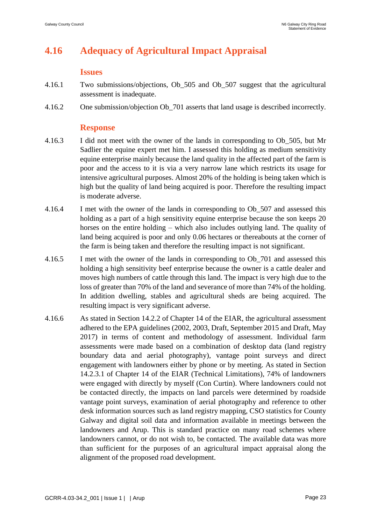# **4.16 Adequacy of Agricultural Impact Appraisal**

#### **Issues**

- 4.16.1 Two submissions/objections, Ob\_505 and Ob\_507 suggest that the agricultural assessment is inadequate.
- 4.16.2 One submission/objection Ob\_701 asserts that land usage is described incorrectly.

- 4.16.3 I did not meet with the owner of the lands in corresponding to Ob\_505, but Mr Sadlier the equine expert met him. I assessed this holding as medium sensitivity equine enterprise mainly because the land quality in the affected part of the farm is poor and the access to it is via a very narrow lane which restricts its usage for intensive agricultural purposes. Almost 20% of the holding is being taken which is high but the quality of land being acquired is poor. Therefore the resulting impact is moderate adverse.
- 4.16.4 I met with the owner of the lands in corresponding to Ob\_507 and assessed this holding as a part of a high sensitivity equine enterprise because the son keeps 20 horses on the entire holding – which also includes outlying land. The quality of land being acquired is poor and only 0.06 hectares or thereabouts at the corner of the farm is being taken and therefore the resulting impact is not significant.
- 4.16.5 I met with the owner of the lands in corresponding to Ob\_701 and assessed this holding a high sensitivity beef enterprise because the owner is a cattle dealer and moves high numbers of cattle through this land. The impact is very high due to the loss of greater than 70% of the land and severance of more than 74% of the holding. In addition dwelling, stables and agricultural sheds are being acquired. The resulting impact is very significant adverse.
- 4.16.6 As stated in Section 14.2.2 of Chapter 14 of the EIAR, the agricultural assessment adhered to the EPA guidelines (2002, 2003, Draft, September 2015 and Draft, May 2017) in terms of content and methodology of assessment. Individual farm assessments were made based on a combination of desktop data (land registry boundary data and aerial photography), vantage point surveys and direct engagement with landowners either by phone or by meeting. As stated in Section 14.2.3.1 of Chapter 14 of the EIAR (Technical Limitations), 74% of landowners were engaged with directly by myself (Con Curtin). Where landowners could not be contacted directly, the impacts on land parcels were determined by roadside vantage point surveys, examination of aerial photography and reference to other desk information sources such as land registry mapping, CSO statistics for County Galway and digital soil data and information available in meetings between the landowners and Arup. This is standard practice on many road schemes where landowners cannot, or do not wish to, be contacted. The available data was more than sufficient for the purposes of an agricultural impact appraisal along the alignment of the proposed road development.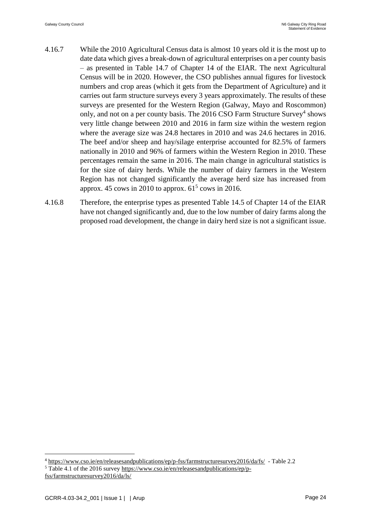- 4.16.7 While the 2010 Agricultural Census data is almost 10 years old it is the most up to date data which gives a break-down of agricultural enterprises on a per county basis – as presented in Table 14.7 of Chapter 14 of the EIAR. The next Agricultural Census will be in 2020. However, the CSO publishes annual figures for livestock numbers and crop areas (which it gets from the Department of Agriculture) and it carries out farm structure surveys every 3 years approximately. The results of these surveys are presented for the Western Region (Galway, Mayo and Roscommon) only, and not on a per county basis. The  $2016$  CSO Farm Structure Survey<sup>4</sup> shows very little change between 2010 and 2016 in farm size within the western region where the average size was 24.8 hectares in 2010 and was 24.6 hectares in 2016. The beef and/or sheep and hay/silage enterprise accounted for 82.5% of farmers nationally in 2010 and 96% of farmers within the Western Region in 2010. These percentages remain the same in 2016. The main change in agricultural statistics is for the size of dairy herds. While the number of dairy farmers in the Western Region has not changed significantly the average herd size has increased from approx. 45 cows in 2010 to approx.  $61<sup>5</sup>$  cows in 2016.
- 4.16.8 Therefore, the enterprise types as presented Table 14.5 of Chapter 14 of the EIAR have not changed significantly and, due to the low number of dairy farms along the proposed road development, the change in dairy herd size is not a significant issue.

1

<sup>4</sup> <https://www.cso.ie/en/releasesandpublications/ep/p-fss/farmstructuresurvey2016/da/fs/>- Table 2.2 <sup>5</sup> Table 4.1 of the 2016 survey [https://www.cso.ie/en/releasesandpublications/ep/p](https://www.cso.ie/en/releasesandpublications/ep/p-fss/farmstructuresurvey2016/da/ls/)[fss/farmstructuresurvey2016/da/ls/](https://www.cso.ie/en/releasesandpublications/ep/p-fss/farmstructuresurvey2016/da/ls/)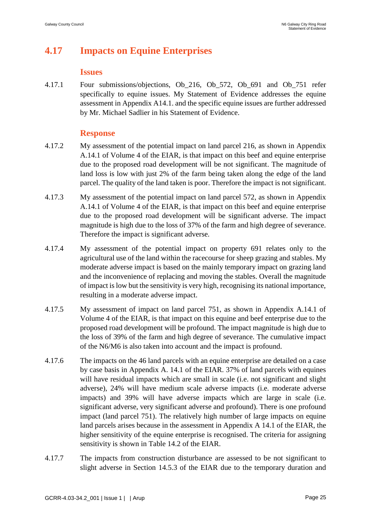# **4.17 Impacts on Equine Enterprises**

#### **Issues**

4.17.1 Four submissions/objections, Ob\_216, Ob\_572, Ob\_691 and Ob\_751 refer specifically to equine issues. My Statement of Evidence addresses the equine assessment in Appendix A14.1. and the specific equine issues are further addressed by Mr. Michael Sadlier in his Statement of Evidence.

- 4.17.2 My assessment of the potential impact on land parcel 216, as shown in Appendix A.14.1 of Volume 4 of the EIAR, is that impact on this beef and equine enterprise due to the proposed road development will be not significant. The magnitude of land loss is low with just 2% of the farm being taken along the edge of the land parcel. The quality of the land taken is poor. Therefore the impact is not significant.
- 4.17.3 My assessment of the potential impact on land parcel 572, as shown in Appendix A.14.1 of Volume 4 of the EIAR, is that impact on this beef and equine enterprise due to the proposed road development will be significant adverse. The impact magnitude is high due to the loss of 37% of the farm and high degree of severance. Therefore the impact is significant adverse.
- 4.17.4 My assessment of the potential impact on property 691 relates only to the agricultural use of the land within the racecourse for sheep grazing and stables. My moderate adverse impact is based on the mainly temporary impact on grazing land and the inconvenience of replacing and moving the stables. Overall the magnitude of impact is low but the sensitivity is very high, recognising its national importance, resulting in a moderate adverse impact.
- 4.17.5 My assessment of impact on land parcel 751, as shown in Appendix A.14.1 of Volume 4 of the EIAR, is that impact on this equine and beef enterprise due to the proposed road development will be profound. The impact magnitude is high due to the loss of 39% of the farm and high degree of severance. The cumulative impact of the N6/M6 is also taken into account and the impact is profound.
- 4.17.6 The impacts on the 46 land parcels with an equine enterprise are detailed on a case by case basis in Appendix A. 14.1 of the EIAR. 37% of land parcels with equines will have residual impacts which are small in scale (i.e. not significant and slight adverse), 24% will have medium scale adverse impacts (i.e. moderate adverse impacts) and 39% will have adverse impacts which are large in scale (i.e. significant adverse, very significant adverse and profound). There is one profound impact (land parcel 751). The relatively high number of large impacts on equine land parcels arises because in the assessment in Appendix A 14.1 of the EIAR, the higher sensitivity of the equine enterprise is recognised. The criteria for assigning sensitivity is shown in Table 14.2 of the EIAR.
- 4.17.7 The impacts from construction disturbance are assessed to be not significant to slight adverse in Section 14.5.3 of the EIAR due to the temporary duration and